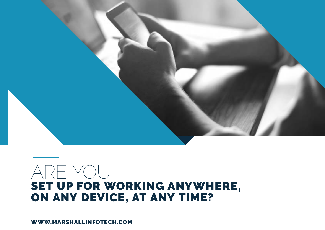

## ARE YOU SET UP FOR WORKING ANYWHERE, ON ANY DEVICE, AT ANY TIME?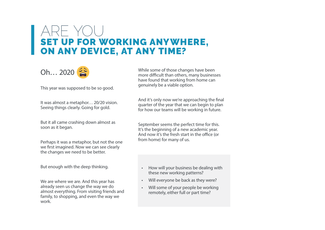### ARE YOU SET UP FOR WORKING ANYWHERE, ON ANY DEVICE, AT ANY TIME?



This year was supposed to be so good.

It was almost a metaphor… 20/20 vision. Seeing things clearly. Going for gold.

But it all came crashing down almost as soon as it began.

Perhaps it was a metaphor, but not the one we first imagined. Now we can see clearly the changes we need to be better.

But enough with the deep thinking.

We are where we are. And this year has already seen us change the way we do almost everything. From visiting friends and family, to shopping, and even the way we work.

While some of those changes have been more difficult than others, many businesses have found that working from home can genuinely be a viable option.

And it's only now we're approaching the final quarter of the year that we can begin to plan for how our teams will be working in future.

September seems the perfect time for this. It's the beginning of a new academic year. And now it's the fresh start in the office (or from home) for many of us.

- How will your business be dealing with these new working patterns?
- Will everyone be back as they were?
- Will some of your people be working remotely, either full or part time?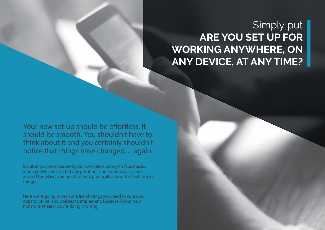## Simply put **ARE YOU SET UP FOR WORKING ANYWHERE, ON ANY DEVICE, AT ANY TIME?**

Your new set-up should be effortless. It should be smooth. You shouldn't have to think about it and you certainly shouldn't notice that things have changed… again.

So, after you've considered your workplace policy on face masks, when you've constructed any partitions and a one-way system around the place, you need to think practically about the tech side of things.

Here we're going to set out a list of things you need to consider, apps to utilise, and policies to implement. Because if your new normal isn't easy, you're doing it wrong.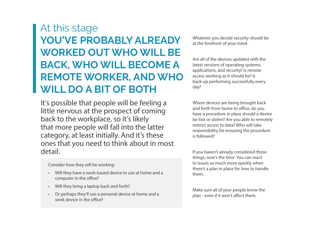## At this stage **YOU'VE PROBABLY ALREADY WORKED OUT WHO WILL BE BACK, WHO WILL BECOME A REMOTE WORKER, AND WHO WILL DO A BIT OF BOTH**

It's possible that people will be feeling a little nervous at the prospect of coming back to the workplace, so it's likely that more people will fall into the latter category, at least initially. And it's these ones that you need to think about in most detail.

Consider how they will be working:

- Will they have a work-issued device to use at home and a computer in the office?
- Will they bring a laptop back and forth?
- Or perhaps they'll use a personal device at home and a work device in the office?

Whatever you decide security should be at the forefront of your mind.

Are all of the devices updated with the latest versions of operating systems, applications, and security? Is remote access working as it should be? Is back-up performing successfully every day?

Where devices are being brought back and forth from home to office, do you have a procedure in place should a device be lost or stolen? Are you able to remotely restrict access to data? Who will take responsibility for ensuring the procedure is followed?

If you haven't already considered these things, now's the time. You can react to issues so much more quickly when there's a plan in place for how to handle them.

Make sure all of your people know the plan - even if it won't affect them.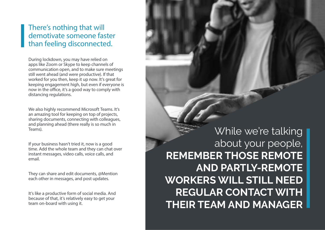#### There's nothing that will demotivate someone faster than feeling disconnected.

During lockdown, you may have relied on apps like Zoom or Skype to keep channels of communication open, and to make sure meetings still went ahead (and were productive). If that worked for you then, keep it up now. It's great for keeping engagement high, but even if everyone is now in the office, it's a good way to comply with distancing regulations.

We also highly recommend Microsoft Teams. It's an amazing tool for keeping on top of projects, sharing documents, connecting with colleagues, and planning ahead (there really is so much in Teams).

If your business hasn't tried it, now is a good time. Add the whole team and they can chat over instant messages, video calls, voice calls, and email.

They can share and edit documents, @Mention each other in messages, and post updates.

It's like a productive form of social media. And because of that, it's relatively easy to get your team on-board with using it.

While we're talking about your people, **REMEMBER THOSE REMOTE AND PARTLY-REMOTE WORKERS WILL STILL NEED REGULAR CONTACT WITH THEIR TEAM AND MANAGER**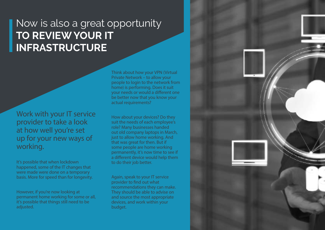## Now is also a great opportunity **TO REVIEW YOUR IT INFRASTRUCTURE**

Work with your IT service provider to take a look at how well you're set up for your new ways of working.

It's possible that when lockdown happened, some of the IT changes that were made were done on a temporary basis. More for speed than for longevity.

However, if you're now looking at permanent home working for some or all, it's possible that things still need to be adjusted.

Think about how your VPN (Virtual Private Network – to allow your people to login to the network from home) is performing. Does it suit your needs or would a different one be better now that you know your actual requirements?

How about your devices? Do they suit the needs of each employee's role? Many businesses handed out old company laptops in March, just to allow home working. And that was great for then. But if some people are home working permanently, it's now time to see if a different device would help them to do their job better.

Again, speak to your IT service provider to find out what recommendations they can make. They should be able to advise on and source the most appropriate devices, and work within your budget.

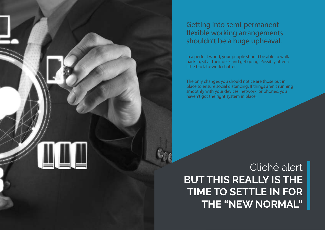

#### Getting into semi-permanent flexible working arrangements shouldn't be a huge upheaval.

In a perfect world, your people should be able to walk back in, sit at their desk and get going. Possibly after a little back-to-work chatter.

The only changes you should notice are those put in place to ensure social distancing. If things aren't running smoothly with your devices, network, or phones, you haven't got the right system in place.

## Cliché alert **BUT THIS REALLY IS THE TIME TO SETTLE IN FOR THE "NEW NORMAL"**